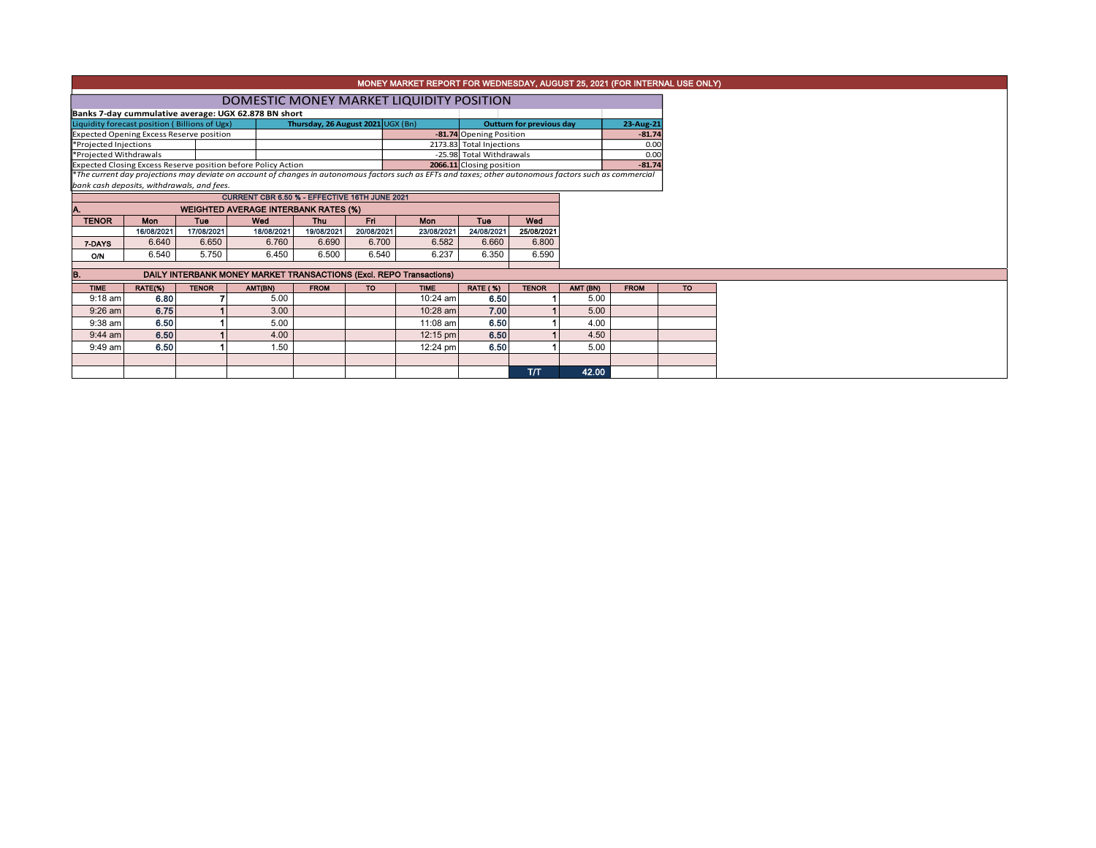|                                               | MONEY MARKET REPORT FOR WEDNESDAY, AUGUST 25, 2021 (FOR INTERNAL USE ONLY) |                                 |                                                                     |                          |                    |                                                                                                                                                          |                          |                   |          |  |  |  |  |  |  |
|-----------------------------------------------|----------------------------------------------------------------------------|---------------------------------|---------------------------------------------------------------------|--------------------------|--------------------|----------------------------------------------------------------------------------------------------------------------------------------------------------|--------------------------|-------------------|----------|--|--|--|--|--|--|
|                                               | DOMESTIC MONEY MARKET LIQUIDITY POSITION                                   |                                 |                                                                     |                          |                    |                                                                                                                                                          |                          |                   |          |  |  |  |  |  |  |
|                                               | Banks 7-day cummulative average: UGX 62.878 BN short                       |                                 |                                                                     |                          |                    |                                                                                                                                                          |                          |                   |          |  |  |  |  |  |  |
| Liquidity forecast position (Billions of Ugx) |                                                                            | <b>Outturn for previous day</b> |                                                                     | 23-Aug-21                |                    |                                                                                                                                                          |                          |                   |          |  |  |  |  |  |  |
|                                               | <b>Expected Opening Excess Reserve position</b>                            |                                 |                                                                     |                          |                    | -81.74 Opening Position                                                                                                                                  |                          |                   | $-81.74$ |  |  |  |  |  |  |
| *Projected Injections                         |                                                                            |                                 |                                                                     |                          |                    | 2173.83 Total Injections                                                                                                                                 |                          |                   | 0.00     |  |  |  |  |  |  |
| *Projected Withdrawals                        |                                                                            |                                 |                                                                     |                          |                    | -25.98 Total Withdrawals                                                                                                                                 |                          | 0.00              |          |  |  |  |  |  |  |
|                                               |                                                                            |                                 | Expected Closing Excess Reserve position before Policy Action       |                          |                    | 2066.11 Closing position                                                                                                                                 |                          |                   | $-81.74$ |  |  |  |  |  |  |
|                                               |                                                                            |                                 |                                                                     |                          |                    | *The current day projections may deviate on account of changes in autonomous factors such as EFTs and taxes; other autonomous factors such as commercial |                          |                   |          |  |  |  |  |  |  |
|                                               | bank cash deposits, withdrawals, and fees.                                 |                                 | CURRENT CBR 6.50 % - EFFECTIVE 16TH JUNE 2021                       |                          |                    |                                                                                                                                                          |                          |                   |          |  |  |  |  |  |  |
|                                               |                                                                            |                                 |                                                                     |                          |                    |                                                                                                                                                          |                          |                   |          |  |  |  |  |  |  |
|                                               | <b>WEIGHTED AVERAGE INTERBANK RATES (%)</b>                                |                                 |                                                                     |                          |                    |                                                                                                                                                          |                          |                   |          |  |  |  |  |  |  |
| <b>TENOR</b>                                  | <b>Mon</b>                                                                 | Tue<br>17/08/2021               | Wed<br>18/08/2021                                                   | <b>Thu</b><br>19/08/2021 | Fri.<br>20/08/2021 | <b>Mon</b><br>23/08/2021                                                                                                                                 | <b>Tue</b><br>24/08/2021 | Wed<br>25/08/2021 |          |  |  |  |  |  |  |
|                                               | 16/08/2021<br>6.640                                                        | 6.650                           | 6.760                                                               | 6.690                    | 6.700              | 6.582                                                                                                                                                    | 6.660                    | 6.800             |          |  |  |  |  |  |  |
| 7-DAYS                                        |                                                                            |                                 |                                                                     |                          |                    |                                                                                                                                                          |                          |                   |          |  |  |  |  |  |  |
| <b>O/N</b>                                    | 6.540                                                                      | 5.750                           | 6.450                                                               | 6.500                    | 6.540              | 6.237                                                                                                                                                    | 6.350                    | 6.590             |          |  |  |  |  |  |  |
| В.                                            |                                                                            |                                 | DAILY INTERBANK MONEY MARKET TRANSACTIONS (Excl. REPO Transactions) |                          |                    |                                                                                                                                                          |                          |                   |          |  |  |  |  |  |  |
| <b>TIME</b>                                   | AMT (BN)                                                                   | <b>FROM</b>                     | $\overline{10}$                                                     |                          |                    |                                                                                                                                                          |                          |                   |          |  |  |  |  |  |  |
| $9:18$ am                                     | RATE(%)<br>6.80                                                            | <b>TENOR</b>                    | AMT(BN)<br>5.00                                                     | <b>FROM</b>              | <b>TO</b>          | <b>TIME</b><br>10:24 am                                                                                                                                  | <b>RATE (%)</b><br>6.50  | <b>TENOR</b>      | 5.00     |  |  |  |  |  |  |
| $9:26$ am                                     | 6.75                                                                       |                                 | 3.00                                                                |                          |                    | 10:28 am                                                                                                                                                 | 7.00                     |                   | 5.00     |  |  |  |  |  |  |
| 9:38 am                                       | 6.50                                                                       |                                 | 5.00                                                                |                          |                    | 11:08 am                                                                                                                                                 | 6.50                     |                   | 4.00     |  |  |  |  |  |  |
| $9:44$ am                                     | 6.50                                                                       |                                 | 4.00                                                                |                          |                    | 12:15 pm                                                                                                                                                 | 6.50                     |                   | 4.50     |  |  |  |  |  |  |
| $9:49$ am                                     | 6.50                                                                       |                                 | 1.50                                                                |                          |                    | 12:24 pm                                                                                                                                                 | 6.50                     |                   | 5.00     |  |  |  |  |  |  |
|                                               |                                                                            |                                 |                                                                     |                          |                    |                                                                                                                                                          |                          |                   |          |  |  |  |  |  |  |
|                                               |                                                                            |                                 |                                                                     |                          |                    |                                                                                                                                                          |                          | T/T               | 42.00    |  |  |  |  |  |  |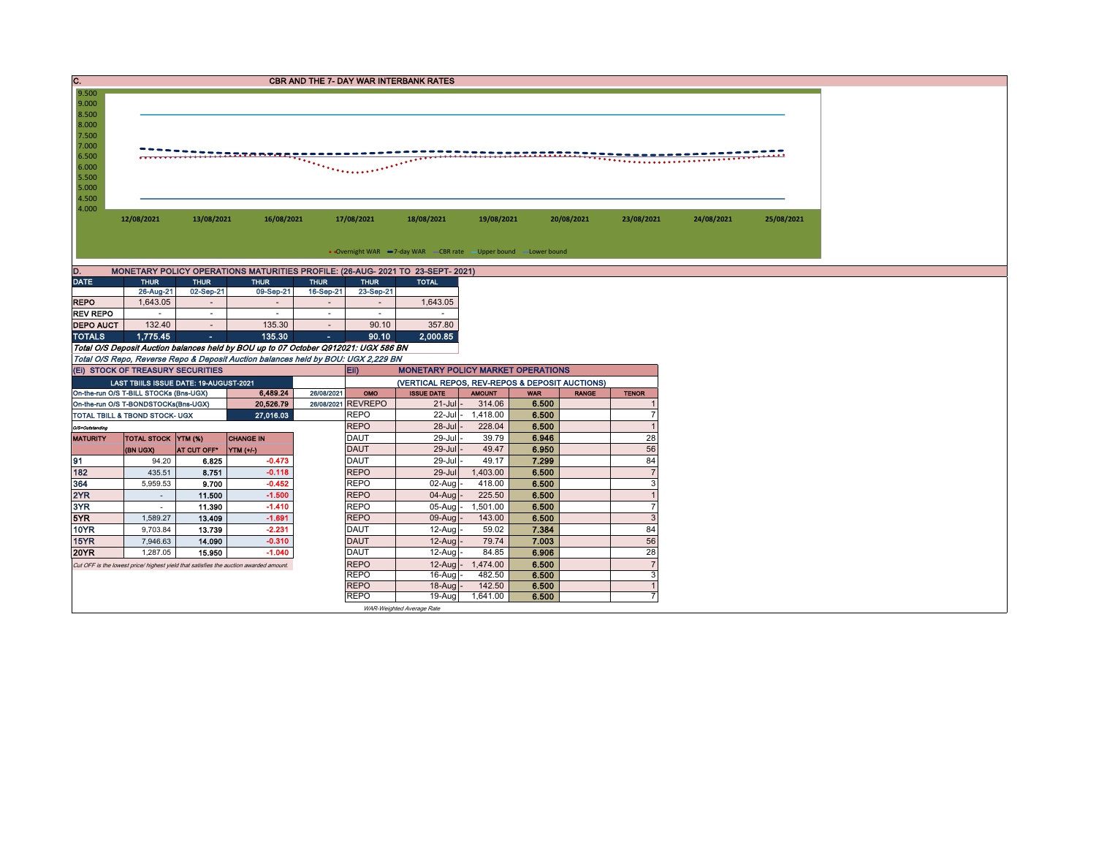| $\overline{c}$ .                                                                    | <b>CBR AND THE 7- DAY WAR INTERBANK RATES</b>                |                          |                                                                                       |                          |                                                |                                                                   |                         |                     |              |                           |            |            |  |  |
|-------------------------------------------------------------------------------------|--------------------------------------------------------------|--------------------------|---------------------------------------------------------------------------------------|--------------------------|------------------------------------------------|-------------------------------------------------------------------|-------------------------|---------------------|--------------|---------------------------|------------|------------|--|--|
| 9.500                                                                               |                                                              |                          |                                                                                       |                          |                                                |                                                                   |                         |                     |              |                           |            |            |  |  |
| 9.000<br>8.500                                                                      |                                                              |                          |                                                                                       |                          |                                                |                                                                   |                         |                     |              |                           |            |            |  |  |
| 8.000                                                                               |                                                              |                          |                                                                                       |                          |                                                |                                                                   |                         |                     |              |                           |            |            |  |  |
| 7.500                                                                               |                                                              |                          |                                                                                       |                          |                                                |                                                                   |                         |                     |              |                           |            |            |  |  |
| 7.000                                                                               | ita nya nyi                                                  |                          |                                                                                       |                          |                                                |                                                                   |                         |                     |              |                           |            |            |  |  |
| 6.500                                                                               |                                                              |                          |                                                                                       |                          |                                                |                                                                   |                         |                     |              |                           |            |            |  |  |
| 6.000<br>5.500                                                                      |                                                              |                          |                                                                                       |                          |                                                |                                                                   |                         |                     |              |                           |            |            |  |  |
| 5.000                                                                               |                                                              |                          |                                                                                       |                          |                                                |                                                                   |                         |                     |              |                           |            |            |  |  |
| 4.500                                                                               |                                                              |                          |                                                                                       |                          |                                                |                                                                   |                         |                     |              |                           |            |            |  |  |
| 4.000                                                                               |                                                              |                          |                                                                                       |                          |                                                |                                                                   |                         |                     |              |                           |            |            |  |  |
|                                                                                     | 12/08/2021                                                   | 13/08/2021               | 16/08/2021                                                                            |                          | 17/08/2021                                     | 18/08/2021                                                        | 19/08/2021              |                     | 20/08/2021   | 23/08/2021                | 24/08/2021 | 25/08/2021 |  |  |
|                                                                                     |                                                              |                          |                                                                                       |                          |                                                |                                                                   |                         |                     |              |                           |            |            |  |  |
|                                                                                     |                                                              |                          |                                                                                       |                          |                                                | • Overnight WAR -7-day WAR - CBR rate - Upper bound - Lower bound |                         |                     |              |                           |            |            |  |  |
|                                                                                     |                                                              |                          |                                                                                       |                          |                                                |                                                                   |                         |                     |              |                           |            |            |  |  |
| D.                                                                                  |                                                              |                          | MONETARY POLICY OPERATIONS MATURITIES PROFILE: (26-AUG- 2021 TO 23-SEPT- 2021)        |                          |                                                |                                                                   |                         |                     |              |                           |            |            |  |  |
| <b>DATE</b>                                                                         | <b>THUR</b><br>26-Aug-21                                     | <b>THUR</b><br>02-Sep-21 | <b>THUR</b><br>09-Sep-21                                                              | <b>THUR</b><br>16-Sep-21 | <b>THUR</b><br>23-Sep-21                       | <b>TOTAL</b>                                                      |                         |                     |              |                           |            |            |  |  |
| <b>REPO</b>                                                                         | 1.643.05                                                     | $\sim$                   | $\overline{\phantom{a}}$                                                              | $\mathbf{r}$             | $\sim$                                         | 1,643.05                                                          |                         |                     |              |                           |            |            |  |  |
| <b>REV REPO</b>                                                                     | $\sim$                                                       | $\sim$                   | $\sim$                                                                                | $\sim$                   | $\sim$                                         |                                                                   |                         |                     |              |                           |            |            |  |  |
| <b>DEPO AUCT</b>                                                                    | 132.40                                                       | $\sim$                   | 135.30                                                                                | $\sim$                   | 90.10                                          | 357.80                                                            |                         |                     |              |                           |            |            |  |  |
| <b>TOTALS</b>                                                                       | 1,775.45                                                     | $\sim$                   | 135.30                                                                                | $\sim$                   | 90.10                                          | 2,000.85                                                          |                         |                     |              |                           |            |            |  |  |
|                                                                                     |                                                              |                          | Total O/S Deposit Auction balances held by BOU up to 07 October Q912021: UGX 586 BN   |                          |                                                |                                                                   |                         |                     |              |                           |            |            |  |  |
|                                                                                     |                                                              |                          | Total O/S Repo, Reverse Repo & Deposit Auction balances held by BOU: UGX 2,229 BN     |                          |                                                |                                                                   |                         |                     |              |                           |            |            |  |  |
|                                                                                     | (EI) STOCK OF TREASURY SECURITIES                            |                          |                                                                                       |                          | Eii)                                           | <b>MONETARY POLICY MARKET OPERATIONS</b>                          |                         |                     |              |                           |            |            |  |  |
|                                                                                     | LAST TBIILS ISSUE DATE: 19-AUGUST-2021                       |                          | 6,489.24                                                                              | 26/08/2021               | (VERTICAL REPOS, REV-REPOS & DEPOSIT AUCTIONS) |                                                                   |                         |                     |              |                           |            |            |  |  |
|                                                                                     | On-the-run O/S T-BILL STOCKs (Bns-UGX)                       |                          | 20.526.79                                                                             |                          | OMO<br>26/08/2021 REVREPO                      | <b>ISSUE DATE</b><br>$21$ -Jul -                                  | <b>AMOUNT</b><br>314.06 | <b>WAR</b><br>6.500 | <b>RANGE</b> | <b>TENOR</b>              |            |            |  |  |
| On-the-run O/S T-BONDSTOCKs(Bns-UGX)<br>27,016.03<br>TOTAL TBILL & TBOND STOCK- UGX |                                                              |                          |                                                                                       |                          | <b>REPO</b>                                    | 22-Jul -                                                          | 1,418.00                | 6.500               |              | $\overline{7}$            |            |            |  |  |
| O/S=Outstanding                                                                     |                                                              |                          |                                                                                       |                          | <b>REPO</b>                                    | $28 -$ Jul                                                        | 228.04                  | 6.500               |              | $\overline{1}$            |            |            |  |  |
| <b>MATURITY</b>                                                                     | <b>TOTAL STOCK YTM (%)</b><br><b>CHANGE IN</b>               |                          |                                                                                       |                          | <b>DAUT</b>                                    | 29-Jul                                                            | 39.79                   | 6.946               |              | 28                        |            |            |  |  |
|                                                                                     | (BN UGX)                                                     | AT CUT OFF <sup>®</sup>  | YTM (+/-)                                                                             |                          | <b>DAUT</b>                                    | 29-Jul                                                            | 49.47                   | 6.950               |              | 56                        |            |            |  |  |
| 91                                                                                  | 94.20                                                        | 6.825                    | $-0.473$                                                                              |                          | <b>DAUT</b>                                    | 29-Jul                                                            | 49.17                   | 7.299               |              | 84                        |            |            |  |  |
| 182                                                                                 | 435.51                                                       | 8.751                    | $-0.118$                                                                              |                          | <b>REPO</b>                                    | 29-Jul                                                            | 1,403.00                | 6.500               |              | $\overline{7}$            |            |            |  |  |
| 364                                                                                 | 5,959.53                                                     | 9.700                    | $-0.452$                                                                              |                          | <b>REPO</b>                                    | 02-Aug                                                            | 418.00                  | 6.500               |              | 3                         |            |            |  |  |
| 2YR                                                                                 | $\sim$                                                       | 11.500                   | $-1.500$                                                                              |                          | <b>REPO</b>                                    | 04-Aug                                                            | 225.50                  | 6.500               |              | $\overline{1}$            |            |            |  |  |
| 3YR                                                                                 | $\sim$                                                       | 11.390                   | $-1.410$                                                                              |                          | <b>REPO</b>                                    | 05-Aug                                                            | 1,501.00                | 6.500               |              | $\overline{7}$            |            |            |  |  |
| 5YR<br><b>10YR</b>                                                                  | 1,589.27                                                     | 13.409<br>13.739         | $-1.691$<br>$-2.231$                                                                  |                          | <b>REPO</b><br><b>DAUT</b>                     | 09-Aug<br>12-Aug                                                  | 143.00<br>59.02         | 6.500<br>7.384      |              | $\sqrt{3}$<br>84          |            |            |  |  |
| 15YR                                                                                | 9,703.84<br>7,946.63                                         | 14.090                   | $-0.310$                                                                              |                          | <b>DAUT</b>                                    | 12-Aug                                                            | 79.74                   | 7.003               |              | 56                        |            |            |  |  |
| <b>20YR</b>                                                                         | 1,287.05                                                     | 15.950                   | $-1.040$                                                                              |                          | <b>DAUT</b>                                    | 12-Aug                                                            | 84.85                   | 6.906               |              | 28                        |            |            |  |  |
|                                                                                     |                                                              |                          | Cut OFF is the lowest price/ highest yield that satisfies the auction awarded amount. |                          | <b>REPO</b>                                    | 12-Aug                                                            | 1,474.00                | 6.500               |              | $\overline{7}$            |            |            |  |  |
|                                                                                     |                                                              |                          |                                                                                       |                          | <b>REPO</b>                                    | $16$ -Aug                                                         | 482.50                  | 6.500               |              | $\ensuremath{\mathsf{3}}$ |            |            |  |  |
|                                                                                     |                                                              |                          |                                                                                       |                          | <b>REPO</b>                                    | 18-Aug                                                            | 142.50                  | 6.500               |              | $\overline{1}$            |            |            |  |  |
|                                                                                     | 6.500<br>$\overline{7}$<br><b>REPO</b><br>19-Aug<br>1,641.00 |                          |                                                                                       |                          |                                                |                                                                   |                         |                     |              |                           |            |            |  |  |
|                                                                                     |                                                              |                          |                                                                                       |                          |                                                | WAR-Weighted Average Rate                                         |                         |                     |              |                           |            |            |  |  |